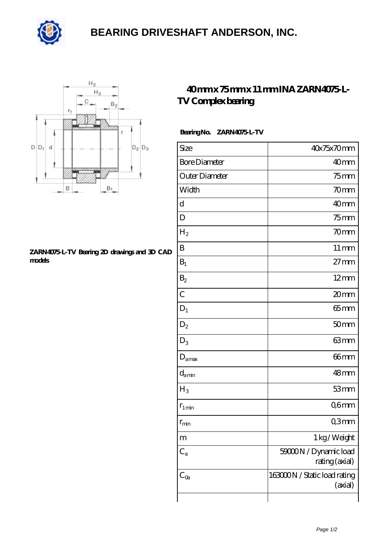

## **[BEARING DRIVESHAFT ANDERSON, INC.](https://m.china-gardenfurniture.com)**



#### **[ZARN4075-L-TV Bearing 2D drawings and 3D CAD](https://m.china-gardenfurniture.com/pic-478078.html) [models](https://m.china-gardenfurniture.com/pic-478078.html)**

## **[40 mm x 75 mm x 11 mm INA ZARN4075-L-](https://m.china-gardenfurniture.com/sell-478078-40-mm-x-75-mm-x-11-mm-ina-zarn4075-l-tv-complex-bearing.html)[TV Complex bearing](https://m.china-gardenfurniture.com/sell-478078-40-mm-x-75-mm-x-11-mm-ina-zarn4075-l-tv-complex-bearing.html)**

### **Bearing No. ZARN4075-L-TV**

| Size                 | 40x75x70mm                              |
|----------------------|-----------------------------------------|
| <b>Bore Diameter</b> | 40mm                                    |
| Outer Diameter       | $75$ mm                                 |
| Width                | 70mm                                    |
| $\mathbf d$          | 40mm                                    |
| D                    | $75$ mm                                 |
| $H_2$                | 70mm                                    |
| $\mathbf B$          | $11 \,\mathrm{mm}$                      |
| $B_1$                | $27 \text{mm}$                          |
| $B_2$                | $12 \text{mm}$                          |
| $\overline{C}$       | 20mm                                    |
| $D_1$                | $65$ mm                                 |
| $\mathrm{D}_2$       | 50 <sub>mm</sub>                        |
| $D_3$                | 63mm                                    |
| $D_{\text{amax}}$    | $66$ mm                                 |
| $d_{\text{amin}}$    | 48mm                                    |
| $H_3$                | 53mm                                    |
| $r_{1\,\text{min}}$  | Q6mm                                    |
| $r_{\rm min}$        | Q3mm                                    |
| m                    | 1 kg/Weight                             |
| $C_{a}$              | 59000N / Dynamic load<br>rating (axial) |
| $C_{0a}$             | 163000N / Static load rating<br>(axial) |
|                      |                                         |